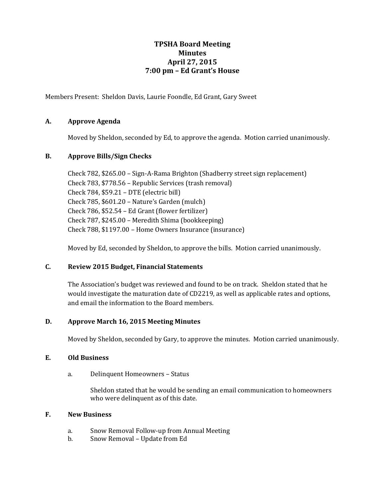# **TPSHA Board Meeting Minutes April 27, 2015 7:00 pm – Ed Grant's House**

Members Present: Sheldon Davis, Laurie Foondle, Ed Grant, Gary Sweet

## **A. Approve Agenda**

Moved by Sheldon, seconded by Ed, to approve the agenda. Motion carried unanimously.

### **B. Approve Bills/Sign Checks**

Check 782, \$265.00 – Sign-A-Rama Brighton (Shadberry street sign replacement) Check 783, \$778.56 – Republic Services (trash removal) Check 784, \$59.21 – DTE (electric bill) Check 785, \$601.20 – Nature's Garden (mulch) Check 786, \$52.54 – Ed Grant (flower fertilizer) Check 787, \$245.00 – Meredith Shima (bookkeeping) Check 788, \$1197.00 – Home Owners Insurance (insurance)

Moved by Ed, seconded by Sheldon, to approve the bills. Motion carried unanimously.

### **C. Review 2015 Budget, Financial Statements**

The Association's budget was reviewed and found to be on track. Sheldon stated that he would investigate the maturation date of CD2219, as well as applicable rates and options, and email the information to the Board members.

# **D. Approve March 16, 2015 Meeting Minutes**

Moved by Sheldon, seconded by Gary, to approve the minutes. Motion carried unanimously.

### **E. Old Business**

a. Delinquent Homeowners – Status

Sheldon stated that he would be sending an email communication to homeowners who were delinquent as of this date.

### **F. New Business**

- a. Snow Removal Follow-up from Annual Meeting
- b. Snow Removal Update from Ed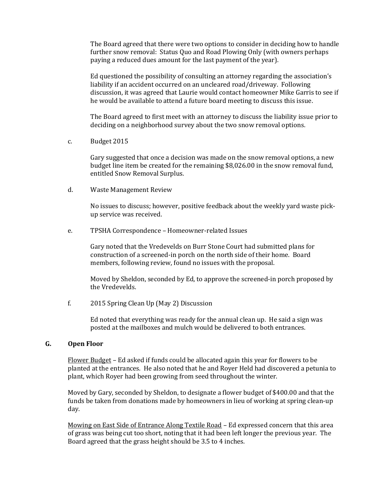The Board agreed that there were two options to consider in deciding how to handle further snow removal: Status Quo and Road Plowing Only (with owners perhaps paying a reduced dues amount for the last payment of the year).

Ed questioned the possibility of consulting an attorney regarding the association's liability if an accident occurred on an uncleared road/driveway. Following discussion, it was agreed that Laurie would contact homeowner Mike Garris to see if he would be available to attend a future board meeting to discuss this issue.

The Board agreed to first meet with an attorney to discuss the liability issue prior to deciding on a neighborhood survey about the two snow removal options.

c. Budget 2015

Gary suggested that once a decision was made on the snow removal options, a new budget line item be created for the remaining \$8,026.00 in the snow removal fund, entitled Snow Removal Surplus.

d. Waste Management Review

No issues to discuss; however, positive feedback about the weekly yard waste pickup service was received.

e. TPSHA Correspondence – Homeowner-related Issues

Gary noted that the Vredevelds on Burr Stone Court had submitted plans for construction of a screened-in porch on the north side of their home. Board members, following review, found no issues with the proposal.

Moved by Sheldon, seconded by Ed, to approve the screened-in porch proposed by the Vredevelds.

f. 2015 Spring Clean Up (May 2) Discussion

Ed noted that everything was ready for the annual clean up. He said a sign was posted at the mailboxes and mulch would be delivered to both entrances.

### **G. Open Floor**

Flower Budget – Ed asked if funds could be allocated again this year for flowers to be planted at the entrances. He also noted that he and Royer Held had discovered a petunia to plant, which Royer had been growing from seed throughout the winter.

Moved by Gary, seconded by Sheldon, to designate a flower budget of \$400.00 and that the funds be taken from donations made by homeowners in lieu of working at spring clean-up day.

Mowing on East Side of Entrance Along Textile Road - Ed expressed concern that this area of grass was being cut too short, noting that it had been left longer the previous year. The Board agreed that the grass height should be 3.5 to 4 inches.